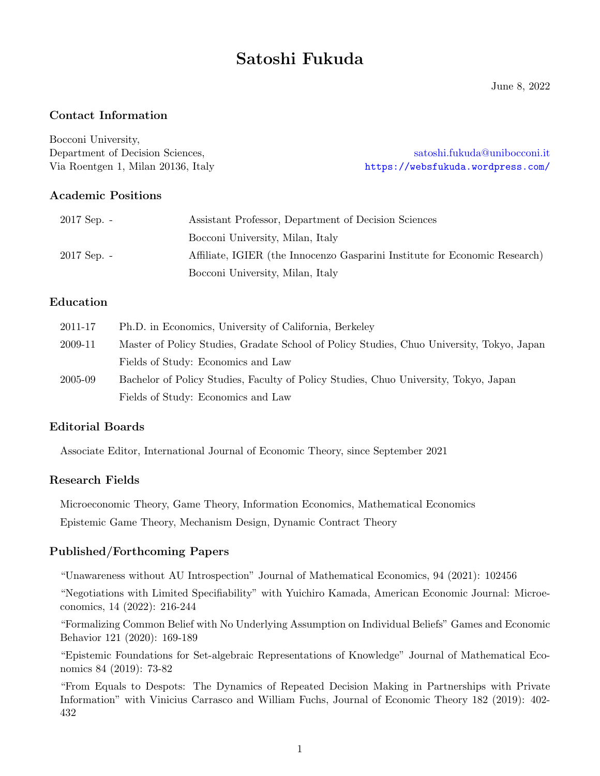# Satoshi Fukuda

June 8, 2022

# Contact Information

Bocconi University,

Department of Decision Sciences, [satoshi.fukuda@unibocconi.it](mailto:satoshi.fukuda@unibocconi.it) Via Roentgen 1, Milan 20136, Italy <https://websfukuda.wordpress.com/>

# Academic Positions

| $2017$ Sep. - | Assistant Professor, Department of Decision Sciences                       |
|---------------|----------------------------------------------------------------------------|
|               | Bocconi University, Milan, Italy                                           |
| $2017$ Sep. - | Affiliate, IGIER (the Innocenzo Gasparini Institute for Economic Research) |
|               | Bocconi University, Milan, Italy                                           |

# Education

| 2011-17 | Ph.D. in Economics, University of California, Berkeley                                    |
|---------|-------------------------------------------------------------------------------------------|
| 2009-11 | Master of Policy Studies, Gradate School of Policy Studies, Chuo University, Tokyo, Japan |
|         | Fields of Study: Economics and Law                                                        |
| 2005-09 | Bachelor of Policy Studies, Faculty of Policy Studies, Chuo University, Tokyo, Japan      |
|         | Fields of Study: Economics and Law                                                        |

# Editorial Boards

Associate Editor, International Journal of Economic Theory, since September 2021

# Research Fields

Microeconomic Theory, Game Theory, Information Economics, Mathematical Economics Epistemic Game Theory, Mechanism Design, Dynamic Contract Theory

# Published/Forthcoming Papers

"Unawareness without AU Introspection" Journal of Mathematical Economics, 94 (2021): 102456

"Negotiations with Limited Specifiability" with Yuichiro Kamada, American Economic Journal: Microeconomics, 14 (2022): 216-244

"Formalizing Common Belief with No Underlying Assumption on Individual Beliefs" Games and Economic Behavior 121 (2020): 169-189

"Epistemic Foundations for Set-algebraic Representations of Knowledge" Journal of Mathematical Economics 84 (2019): 73-82

"From Equals to Despots: The Dynamics of Repeated Decision Making in Partnerships with Private Information" with Vinicius Carrasco and William Fuchs, Journal of Economic Theory 182 (2019): 402- 432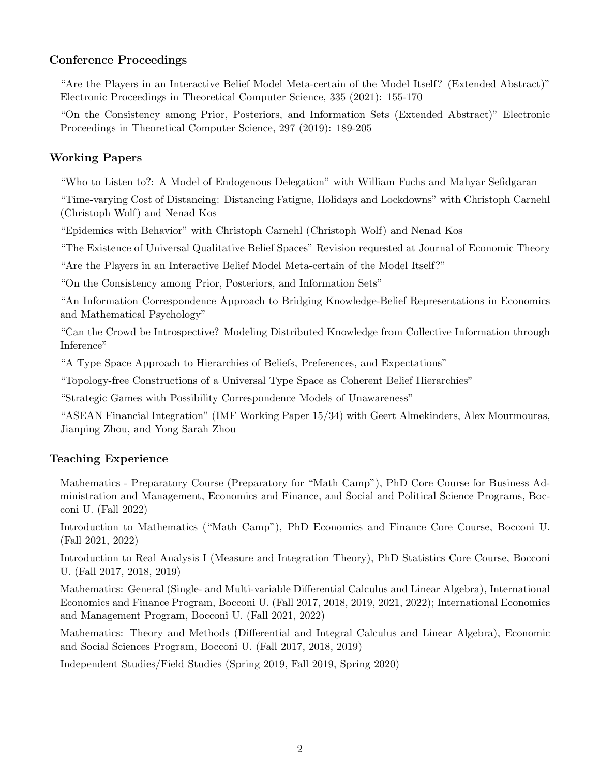# Conference Proceedings

"Are the Players in an Interactive Belief Model Meta-certain of the Model Itself? (Extended Abstract)" Electronic Proceedings in Theoretical Computer Science, 335 (2021): 155-170

"On the Consistency among Prior, Posteriors, and Information Sets (Extended Abstract)" Electronic Proceedings in Theoretical Computer Science, 297 (2019): 189-205

# Working Papers

"Who to Listen to?: A Model of Endogenous Delegation" with William Fuchs and Mahyar Sefidgaran

"Time-varying Cost of Distancing: Distancing Fatigue, Holidays and Lockdowns" with Christoph Carnehl (Christoph Wolf) and Nenad Kos

"Epidemics with Behavior" with Christoph Carnehl (Christoph Wolf) and Nenad Kos

"The Existence of Universal Qualitative Belief Spaces" Revision requested at Journal of Economic Theory

"Are the Players in an Interactive Belief Model Meta-certain of the Model Itself?"

"On the Consistency among Prior, Posteriors, and Information Sets"

"An Information Correspondence Approach to Bridging Knowledge-Belief Representations in Economics and Mathematical Psychology"

"Can the Crowd be Introspective? Modeling Distributed Knowledge from Collective Information through Inference"

"A Type Space Approach to Hierarchies of Beliefs, Preferences, and Expectations"

"Topology-free Constructions of a Universal Type Space as Coherent Belief Hierarchies"

"Strategic Games with Possibility Correspondence Models of Unawareness"

"ASEAN Financial Integration" (IMF Working Paper 15/34) with Geert Almekinders, Alex Mourmouras, Jianping Zhou, and Yong Sarah Zhou

# Teaching Experience

Mathematics - Preparatory Course (Preparatory for "Math Camp"), PhD Core Course for Business Administration and Management, Economics and Finance, and Social and Political Science Programs, Bocconi U. (Fall 2022)

Introduction to Mathematics ("Math Camp"), PhD Economics and Finance Core Course, Bocconi U. (Fall 2021, 2022)

Introduction to Real Analysis I (Measure and Integration Theory), PhD Statistics Core Course, Bocconi U. (Fall 2017, 2018, 2019)

Mathematics: General (Single- and Multi-variable Differential Calculus and Linear Algebra), International Economics and Finance Program, Bocconi U. (Fall 2017, 2018, 2019, 2021, 2022); International Economics and Management Program, Bocconi U. (Fall 2021, 2022)

Mathematics: Theory and Methods (Differential and Integral Calculus and Linear Algebra), Economic and Social Sciences Program, Bocconi U. (Fall 2017, 2018, 2019)

Independent Studies/Field Studies (Spring 2019, Fall 2019, Spring 2020)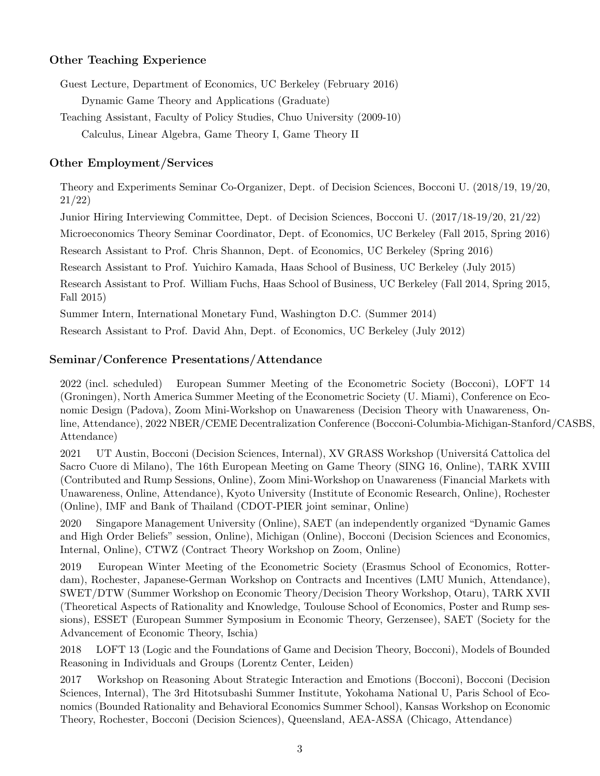#### Other Teaching Experience

Guest Lecture, Department of Economics, UC Berkeley (February 2016) Dynamic Game Theory and Applications (Graduate)

Teaching Assistant, Faculty of Policy Studies, Chuo University (2009-10) Calculus, Linear Algebra, Game Theory I, Game Theory II

#### Other Employment/Services

Theory and Experiments Seminar Co-Organizer, Dept. of Decision Sciences, Bocconi U. (2018/19, 19/20, 21/22)

Junior Hiring Interviewing Committee, Dept. of Decision Sciences, Bocconi U. (2017/18-19/20, 21/22)

Microeconomics Theory Seminar Coordinator, Dept. of Economics, UC Berkeley (Fall 2015, Spring 2016)

Research Assistant to Prof. Chris Shannon, Dept. of Economics, UC Berkeley (Spring 2016)

Research Assistant to Prof. Yuichiro Kamada, Haas School of Business, UC Berkeley (July 2015)

Research Assistant to Prof. William Fuchs, Haas School of Business, UC Berkeley (Fall 2014, Spring 2015, Fall 2015)

Summer Intern, International Monetary Fund, Washington D.C. (Summer 2014)

Research Assistant to Prof. David Ahn, Dept. of Economics, UC Berkeley (July 2012)

#### Seminar/Conference Presentations/Attendance

2022 (incl. scheduled) European Summer Meeting of the Econometric Society (Bocconi), LOFT 14 (Groningen), North America Summer Meeting of the Econometric Society (U. Miami), Conference on Economic Design (Padova), Zoom Mini-Workshop on Unawareness (Decision Theory with Unawareness, Online, Attendance), 2022 NBER/CEME Decentralization Conference (Bocconi-Columbia-Michigan-Stanford/CASBS, Attendance)

2021 UT Austin, Bocconi (Decision Sciences, Internal), XV GRASS Workshop (Università Cattolica del Sacro Cuore di Milano), The 16th European Meeting on Game Theory (SING 16, Online), TARK XVIII (Contributed and Rump Sessions, Online), Zoom Mini-Workshop on Unawareness (Financial Markets with Unawareness, Online, Attendance), Kyoto University (Institute of Economic Research, Online), Rochester (Online), IMF and Bank of Thailand (CDOT-PIER joint seminar, Online)

2020 Singapore Management University (Online), SAET (an independently organized "Dynamic Games and High Order Beliefs" session, Online), Michigan (Online), Bocconi (Decision Sciences and Economics, Internal, Online), CTWZ (Contract Theory Workshop on Zoom, Online)

2019 European Winter Meeting of the Econometric Society (Erasmus School of Economics, Rotterdam), Rochester, Japanese-German Workshop on Contracts and Incentives (LMU Munich, Attendance), SWET/DTW (Summer Workshop on Economic Theory/Decision Theory Workshop, Otaru), TARK XVII (Theoretical Aspects of Rationality and Knowledge, Toulouse School of Economics, Poster and Rump sessions), ESSET (European Summer Symposium in Economic Theory, Gerzensee), SAET (Society for the Advancement of Economic Theory, Ischia)

2018 LOFT 13 (Logic and the Foundations of Game and Decision Theory, Bocconi), Models of Bounded Reasoning in Individuals and Groups (Lorentz Center, Leiden)

2017 Workshop on Reasoning About Strategic Interaction and Emotions (Bocconi), Bocconi (Decision Sciences, Internal), The 3rd Hitotsubashi Summer Institute, Yokohama National U, Paris School of Economics (Bounded Rationality and Behavioral Economics Summer School), Kansas Workshop on Economic Theory, Rochester, Bocconi (Decision Sciences), Queensland, AEA-ASSA (Chicago, Attendance)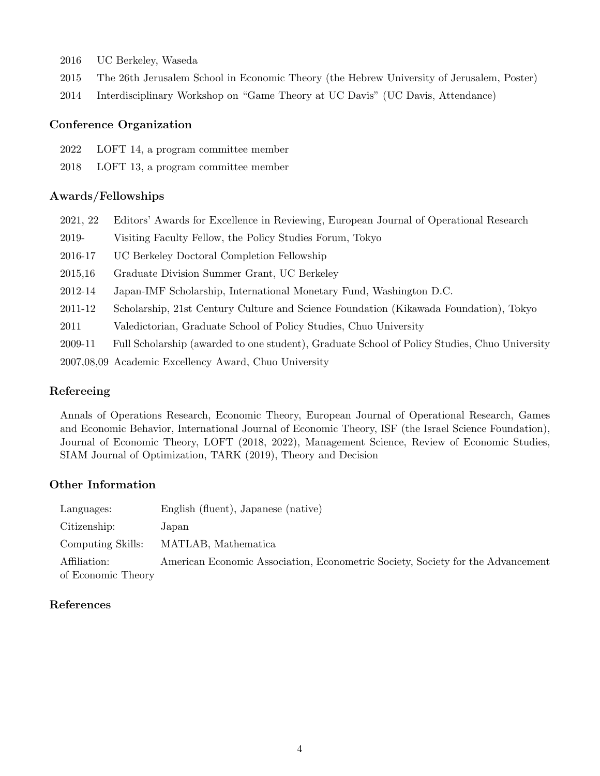- 2016 UC Berkeley, Waseda
- 2015 The 26th Jerusalem School in Economic Theory (the Hebrew University of Jerusalem, Poster)
- 2014 Interdisciplinary Workshop on "Game Theory at UC Davis" (UC Davis, Attendance)

#### Conference Organization

- 2022 LOFT 14, a program committee member
- 2018 LOFT 13, a program committee member

#### Awards/Fellowships

| 2021, 22 | Editors' Awards for Excellence in Reviewing, European Journal of Operational Research         |
|----------|-----------------------------------------------------------------------------------------------|
| 2019-    | Visiting Faculty Fellow, the Policy Studies Forum, Tokyo                                      |
| 2016-17  | UC Berkeley Doctoral Completion Fellowship                                                    |
| 2015,16  | Graduate Division Summer Grant, UC Berkeley                                                   |
| 2012-14  | Japan-IMF Scholarship, International Monetary Fund, Washington D.C.                           |
| 2011-12  | Scholarship, 21st Century Culture and Science Foundation (Kikawada Foundation), Tokyo         |
| 2011     | Valedictorian, Graduate School of Policy Studies, Chuo University                             |
| 2009-11  | Full Scholarship (awarded to one student), Graduate School of Policy Studies, Chuo University |
|          | 2007,08,09 Academic Excellency Award, Chuo University                                         |
|          |                                                                                               |

#### Refereeing

Annals of Operations Research, Economic Theory, European Journal of Operational Research, Games and Economic Behavior, International Journal of Economic Theory, ISF (the Israel Science Foundation), Journal of Economic Theory, LOFT (2018, 2022), Management Science, Review of Economic Studies, SIAM Journal of Optimization, TARK (2019), Theory and Decision

# Other Information

| Languages:         | English (fluent), Japanese (native)                                             |
|--------------------|---------------------------------------------------------------------------------|
| Citizenship:       | Japan                                                                           |
| Computing Skills:  | MATLAB, Mathematica                                                             |
| Affiliation:       | American Economic Association, Econometric Society, Society for the Advancement |
| of Economic Theory |                                                                                 |

#### References